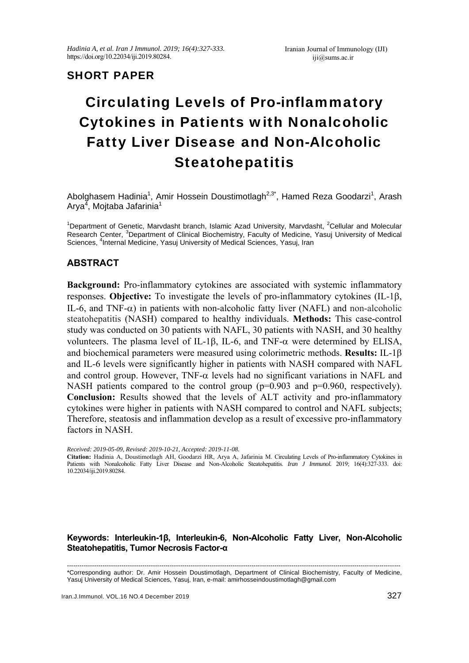## SHORT PAPER

# Circulating Levels of Pro-inflammatory Cytokines in Patients with Nonalcoholic Fatty Liver Disease and Non-Alcoholic Steatohepatitis

Abolghasem Hadinia<sup>1</sup>, Amir Hossein Doustimotlagh<sup>2,3\*</sup>, Hamed Reza Goodarzi<sup>1</sup>, Arash Arya<sup>4</sup>, Mojtaba Jafarinia<sup>1</sup>

<sup>1</sup>Department of Genetic, Marvdasht branch, Islamic Azad University, Marvdasht, <sup>2</sup>Cellular and Molecular Research Center, <sup>3</sup>Department of Clinical Biochemistry, Faculty of Medicine, Yasuj University of Medical Sciences, <sup>4</sup>Internal Medicine, Yasuj University of Medical Sciences, Yasuj, Iran

### **ABSTRACT**

**Background:** Pro-inflammatory cytokines are associated with systemic inflammatory responses. **Objective:** To investigate the levels of pro-inflammatory cytokines (IL-1 $\beta$ , IL-6, and TNF- $\alpha$ ) in patients with non-alcoholic fatty liver (NAFL) and non-alcoholic steatohepatitis (NASH) compared to healthy individuals. **Methods:** This case-control study was conducted on 30 patients with NAFL, 30 patients with NASH, and 30 healthy volunteers. The plasma level of IL-1 $\beta$ , IL-6, and TNF- $\alpha$  were determined by ELISA, and biochemical parameters were measured using colorimetric methods. **Results:** IL-1 and IL-6 levels were significantly higher in patients with NASH compared with NAFL and control group. However,  $TNF-\alpha$  levels had no significant variations in NAFL and NASH patients compared to the control group (p=0.903 and p=0.960, respectively). **Conclusion:** Results showed that the levels of ALT activity and pro-inflammatory cytokines were higher in patients with NASH compared to control and NAFL subjects; Therefore, steatosis and inflammation develop as a result of excessive pro-inflammatory factors in NASH.

*Received: 2019-05-09, Revised: 2019-10-21, Accepted: 2019-11-08.* 

**Citation:** Hadinia A, Doustimotlagh AH, Goodarzi HR, Arya A, Jafarinia M. Circulating Levels of Pro-inflammatory Cytokines in Patients with Nonalcoholic Fatty Liver Disease and Non-Alcoholic Steatohepatitis. *Iran J Immunol.* 2019; 16(4):327-333. doi: 10.22034/iji.2019.80284.

#### **Keywords: Interleukin-1β, Interleukin-6, Non-Alcoholic Fatty Liver, Non-Alcoholic Steatohepatitis, Tumor Necrosis Factor-α**

--------------------------------------------------------------------------------------------------------------------------------------------------------------- \*Corresponding author: Dr. Amir Hossein Doustimotlagh, Department of Clinical Biochemistry, Faculty of Medicine, Yasuj University of Medical Sciences, Yasuj, Iran, e-mail: amirhosseindoustimotlagh@gmail.com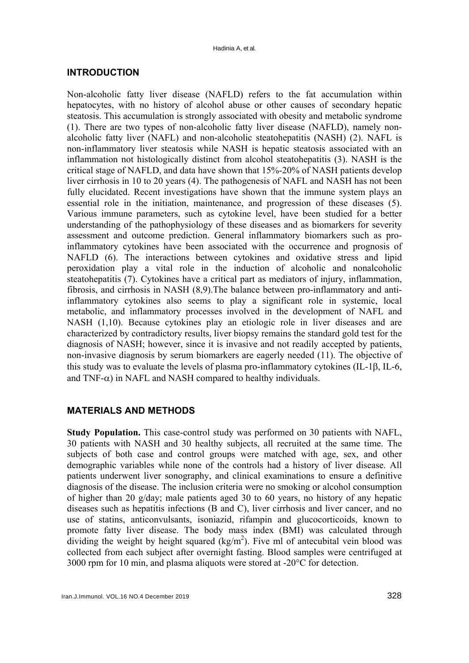#### **INTRODUCTION**

Non-alcoholic fatty liver disease (NAFLD) refers to the fat accumulation within hepatocytes, with no history of alcohol abuse or other causes of secondary hepatic steatosis. This accumulation is strongly associated with obesity and metabolic syndrome (1). There are two types of non-alcoholic fatty liver disease (NAFLD), namely nonalcoholic fatty liver (NAFL) and non-alcoholic steatohepatitis (NASH) (2). NAFL is non-inflammatory liver steatosis while NASH is hepatic steatosis associated with an inflammation not histologically distinct from alcohol steatohepatitis (3). NASH is the critical stage of NAFLD, and data have shown that 15%-20% of NASH patients develop liver cirrhosis in 10 to 20 years (4). The pathogenesis of NAFL and NASH has not been fully elucidated. Recent investigations have shown that the immune system plays an essential role in the initiation, maintenance, and progression of these diseases (5). Various immune parameters, such as cytokine level, have been studied for a better understanding of the pathophysiology of these diseases and as biomarkers for severity assessment and outcome prediction. General inflammatory biomarkers such as proinflammatory cytokines have been associated with the occurrence and prognosis of NAFLD (6). The interactions between cytokines and oxidative stress and lipid peroxidation play a vital role in the induction of alcoholic and nonalcoholic steatohepatitis (7). Cytokines have a critical part as mediators of injury, inflammation, fibrosis, and cirrhosis in NASH (8,9).The balance between pro-inflammatory and antiinflammatory cytokines also seems to play a significant role in systemic, local metabolic, and inflammatory processes involved in the development of NAFL and NASH (1,10). Because cytokines play an etiologic role in liver diseases and are characterized by contradictory results, liver biopsy remains the standard gold test for the diagnosis of NASH; however, since it is invasive and not readily accepted by patients, non-invasive diagnosis by serum biomarkers are eagerly needed (11). The objective of this study was to evaluate the levels of plasma pro-inflammatory cytokines  $(II - 1B, II - 6, I)$ and TNF- $\alpha$ ) in NAFL and NASH compared to healthy individuals.

#### **MATERIALS AND METHODS**

**Study Population.** This case-control study was performed on 30 patients with NAFL, 30 patients with NASH and 30 healthy subjects, all recruited at the same time. The subjects of both case and control groups were matched with age, sex, and other demographic variables while none of the controls had a history of liver disease. All patients underwent liver sonography, and clinical examinations to ensure a definitive diagnosis of the disease. The inclusion criteria were no smoking or alcohol consumption of higher than 20 g/day; male patients aged 30 to 60 years, no history of any hepatic diseases such as hepatitis infections (B and C), liver cirrhosis and liver cancer, and no use of statins, anticonvulsants, isoniazid, rifampin and glucocorticoids, known to promote fatty liver disease. The body mass index (BMI) was calculated through dividing the weight by height squared  $(kg/m<sup>2</sup>)$ . Five ml of antecubital vein blood was collected from each subject after overnight fasting. Blood samples were centrifuged at 3000 rpm for 10 min, and plasma aliquots were stored at -20°C for detection.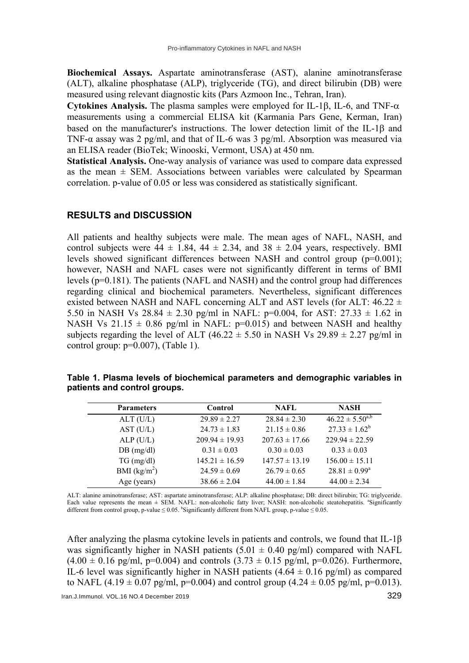**Biochemical Assays.** Aspartate aminotransferase (AST), alanine aminotransferase (ALT), alkaline phosphatase (ALP), triglyceride (TG), and direct bilirubin (DB) were measured using relevant diagnostic kits (Pars Azmoon Inc., Tehran, Iran).

**Cytokines Analysis.** The plasma samples were employed for IL-1 $\beta$ , IL-6, and TNF- $\alpha$ measurements using a commercial ELISA kit (Karmania Pars Gene, Kerman, Iran) based on the manufacturer's instructions. The lower detection limit of the IL-1 $\beta$  and TNF- $\alpha$  assay was 2 pg/ml, and that of IL-6 was 3 pg/ml. Absorption was measured via an ELISA reader (BioTek; Winooski, Vermont, USA) at 450 nm.

**Statistical Analysis.** One-way analysis of variance was used to compare data expressed as the mean  $\pm$  SEM. Associations between variables were calculated by Spearman correlation. p-value of 0.05 or less was considered as statistically significant.

#### **RESULTS and DISCUSSION**

All patients and healthy subjects were male. The mean ages of NAFL, NASH, and control subjects were  $44 \pm 1.84$ ,  $44 \pm 2.34$ , and  $38 \pm 2.04$  years, respectively. BMI levels showed significant differences between NASH and control group  $(p=0.001)$ ; however, NASH and NAFL cases were not significantly different in terms of BMI levels (p=0.181). The patients (NAFL and NASH) and the control group had differences regarding clinical and biochemical parameters. Nevertheless, significant differences existed between NASH and NAFL concerning ALT and AST levels (for ALT:  $46.22 \pm$ 5.50 in NASH Vs  $28.84 \pm 2.30$  pg/ml in NAFL: p=0.004, for AST:  $27.33 \pm 1.62$  in NASH Vs 21.15  $\pm$  0.86 pg/ml in NAFL: p=0.015) and between NASH and healthy subjects regarding the level of ALT (46.22  $\pm$  5.50 in NASH Vs 29.89  $\pm$  2.27 pg/ml in control group:  $p=0.007$ ), (Table 1).

|                              | Table 1. Plasma levels of biochemical parameters and demographic variables in |  |  |  |
|------------------------------|-------------------------------------------------------------------------------|--|--|--|
| patients and control groups. |                                                                               |  |  |  |

| <b>Parameters</b> | Control            | NAFL.              | <b>NASH</b>              |
|-------------------|--------------------|--------------------|--------------------------|
| ALT(U/L)          | $29.89 \pm 2.27$   | $28.84 \pm 2.30$   | $46.22 \pm 5.50^{a,b}$   |
| AST (U/L)         | $24.73 \pm 1.83$   | $21.15 \pm 0.86$   | $27.33 \pm 1.62^b$       |
| ALP(U/L)          | $209.94 \pm 19.93$ | $207.63 \pm 17.66$ | $229.94 \pm 22.59$       |
| DB (mg/dl)        | $0.31 \pm 0.03$    | $0.30 \pm 0.03$    | $0.33 \pm 0.03$          |
| $TG \, (mg/dl)$   | $145.21 \pm 16.59$ | $147.57 \pm 13.19$ | $156.00 \pm 15.11$       |
| BMI $(kg/m2)$     | $24.59 \pm 0.69$   | $26.79 \pm 0.65$   | $28.81 \pm 0.99^{\circ}$ |
| Age (years)       | $38.66 \pm 2.04$   | $44.00 \pm 1.84$   | $44.00 \pm 2.34$         |

ALT: alanine aminotransferase; AST: aspartate aminotransferase; ALP: alkaline phosphatase; DB: direct bilirubin; TG: triglyceride. Each value represents the mean  $\pm$  SEM. NAFL: non-alcoholic fatty liver; NASH: non-alcoholic steatohepatitis. <sup>a</sup>Significantly different from control group, p-value  $\leq 0.05$ . <sup>b</sup>Significantly different from NAFL group, p-value  $\leq 0.05$ .

After analyzing the plasma cytokine levels in patients and controls, we found that IL-1β was significantly higher in NASH patients  $(5.01 \pm 0.40 \text{ pg/ml})$  compared with NAFL  $(4.00 \pm 0.16 \text{ pg/ml}, \text{p=0.004})$  and controls  $(3.73 \pm 0.15 \text{ pg/ml}, \text{p=0.026})$ . Furthermore, IL-6 level was significantly higher in NASH patients  $(4.64 \pm 0.16 \text{ pg/ml})$  as compared to NAFL  $(4.19 \pm 0.07 \text{ pg/ml}, \text{p=0.004})$  and control group  $(4.24 \pm 0.05 \text{ pg/ml}, \text{p=0.013})$ .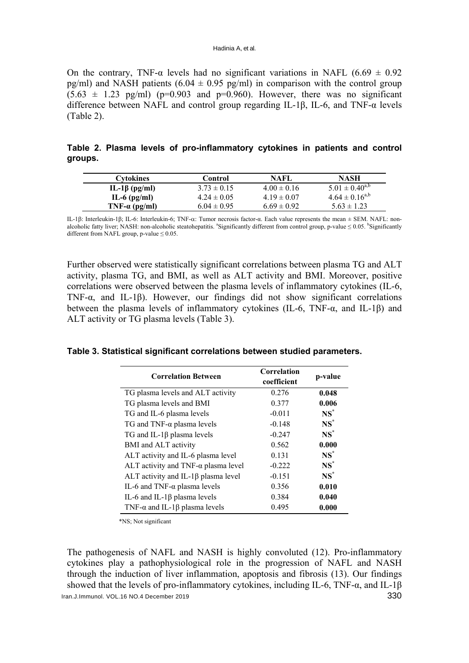On the contrary, TNF- $\alpha$  levels had no significant variations in NAFL (6.69  $\pm$  0.92 pg/ml) and NASH patients  $(6.04 \pm 0.95 \text{ pg/ml})$  in comparison with the control group  $(5.63 \pm 1.23 \text{ pg/ml})$  (p=0.903 and p=0.960). However, there was no significant difference between NAFL and control group regarding IL-1β, IL-6, and TNF-α levels (Table 2).

|         |  | Table 2. Plasma levels of pro-inflammatory cytokines in patients and control |  |  |  |
|---------|--|------------------------------------------------------------------------------|--|--|--|
| groups. |  |                                                                              |  |  |  |

| Cytokines             | Control         | NAFL            | NASH                  |
|-----------------------|-----------------|-----------------|-----------------------|
| IL-1β (pg/ml)         | $3.73 \pm 0.15$ | $4.00 \pm 0.16$ | $5.01 \pm 0.40^{a,b}$ |
| $IL-6$ (pg/ml)        | $4.24 \pm 0.05$ | $4.19 \pm 0.07$ | $4.64 \pm 0.16^{a,b}$ |
| TNF- $\alpha$ (pg/ml) | $6.04 \pm 0.95$ | $6.69 \pm 0.92$ | $5.63 \pm 1.23$       |

IL-1β; Interleukin-1β; IL-6: Interleukin-6; TNF-α; Tumor necrosis factor-α. Each value represents the mean  $\pm$  SEM. NAFL: nonalcoholic fatty liver; NASH: non-alcoholic steatohepatitis. <sup>a</sup>Significantly different from control group, p-value ≤ 0.05. <sup>b</sup>Significantly different from NAFL group, p-value  $\leq 0.05$ .

Further observed were statistically significant correlations between plasma TG and ALT activity, plasma TG, and BMI, as well as ALT activity and BMI. Moreover, positive correlations were observed between the plasma levels of inflammatory cytokines (IL-6, TNF- $\alpha$ , and IL-1 $\beta$ ). However, our findings did not show significant correlations between the plasma levels of inflammatory cytokines (IL-6, TNF-α, and IL-1β) and ALT activity or TG plasma levels (Table 3).

**Table 3. Statistical significant correlations between studied parameters.** 

| <b>Correlation Between</b>                   | Correlation<br>coefficient | p-value |
|----------------------------------------------|----------------------------|---------|
| TG plasma levels and ALT activity            | 0.276                      | 0.048   |
| TG plasma levels and BMI                     | 0.377                      | 0.006   |
| TG and IL-6 plasma levels                    | $-0.011$                   | $NS^*$  |
| TG and TNF- $\alpha$ plasma levels           | $-0.148$                   | $NS^*$  |
| TG and IL-1 $\beta$ plasma levels            | $-0.247$                   | $NS^*$  |
| BMI and ALT activity                         | 0.562                      | 0.000   |
| ALT activity and IL-6 plasma level           | 0.131                      | $NS^*$  |
| ALT activity and TNF- $\alpha$ plasma level  | $-0.222$                   | $NS^*$  |
| ALT activity and IL-1 $\beta$ plasma level   | $-0.151$                   | $NS^*$  |
| IL-6 and TNF- $\alpha$ plasma levels         | 0.356                      | 0.010   |
| IL-6 and IL-1 $\beta$ plasma levels          | 0.384                      | 0.040   |
| TNF- $\alpha$ and IL-1 $\beta$ plasma levels | 0.495                      | 0.000   |

\*NS; Not significant

Iran.J.Immunol. VOL.16 NO.4 December 2019 330 The pathogenesis of NAFL and NASH is highly convoluted (12). Pro-inflammatory cytokines play a pathophysiological role in the progression of NAFL and NASH through the induction of liver inflammation, apoptosis and fibrosis (13). Our findings showed that the levels of pro-inflammatory cytokines, including IL-6, TNF- $\alpha$ , and IL-1 $\beta$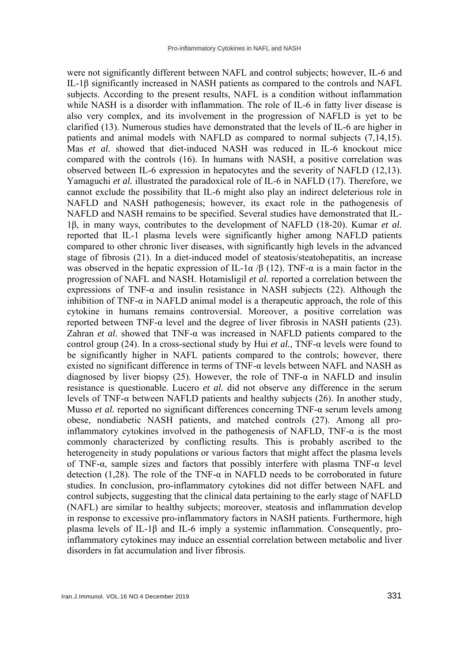were not significantly different between NAFL and control subjects; however, IL-6 and IL-1β significantly increased in NASH patients as compared to the controls and NAFL subjects. According to the present results, NAFL is a condition without inflammation while NASH is a disorder with inflammation. The role of IL-6 in fatty liver disease is also very complex, and its involvement in the progression of NAFLD is yet to be clarified (13). Numerous studies have demonstrated that the levels of IL-6 are higher in patients and animal models with NAFLD as compared to normal subjects (7,14,15). Mas *et al.* showed that diet-induced NASH was reduced in IL-6 knockout mice compared with the controls (16). In humans with NASH, a positive correlation was observed between IL-6 expression in hepatocytes and the severity of NAFLD (12,13). Yamaguchi *et al.* illustrated the paradoxical role of IL-6 in NAFLD (17). Therefore, we cannot exclude the possibility that IL-6 might also play an indirect deleterious role in NAFLD and NASH pathogenesis; however, its exact role in the pathogenesis of NAFLD and NASH remains to be specified. Several studies have demonstrated that IL-1β, in many ways, contributes to the development of NAFLD (18-20). Kumar *et al.* reported that IL-1 plasma levels were significantly higher among NAFLD patients compared to other chronic liver diseases, with significantly high levels in the advanced stage of fibrosis (21). In a diet-induced model of steatosis/steatohepatitis, an increase was observed in the hepatic expression of IL-1 $\alpha$  /β (12). TNF- $\alpha$  is a main factor in the progression of NAFL and NASH. Hotamisligil *et al.* reported a correlation between the expressions of TNF- $\alpha$  and insulin resistance in NASH subjects (22). Although the inhibition of TNF- $\alpha$  in NAFLD animal model is a therapeutic approach, the role of this cytokine in humans remains controversial. Moreover, a positive correlation was reported between TNF-α level and the degree of liver fibrosis in NASH patients (23). Zahran *et al.* showed that TNF-α was increased in NAFLD patients compared to the control group (24). In a cross-sectional study by Hui *et al.*, TNF-α levels were found to be significantly higher in NAFL patients compared to the controls; however, there existed no significant difference in terms of TNF- $\alpha$  levels between NAFL and NASH as diagnosed by liver biopsy (25). However, the role of TNF- $\alpha$  in NAFLD and insulin resistance is questionable. Lucero *et al.* did not observe any difference in the serum levels of TNF-α between NAFLD patients and healthy subjects (26). In another study, Musso *et al.* reported no significant differences concerning TNF-α serum levels among obese, nondiabetic NASH patients, and matched controls (27). Among all proinflammatory cytokines involved in the pathogenesis of NAFLD, TNF- $\alpha$  is the most commonly characterized by conflicting results. This is probably ascribed to the heterogeneity in study populations or various factors that might affect the plasma levels of TNF-α, sample sizes and factors that possibly interfere with plasma TNF-α level detection (1,28). The role of the TNF- $\alpha$  in NAFLD needs to be corroborated in future studies. In conclusion, pro-inflammatory cytokines did not differ between NAFL and control subjects, suggesting that the clinical data pertaining to the early stage of NAFLD (NAFL) are similar to healthy subjects; moreover, steatosis and inflammation develop in response to excessive pro-inflammatory factors in NASH patients. Furthermore, high plasma levels of IL-1β and IL-6 imply a systemic inflammation. Consequently, proinflammatory cytokines may induce an essential correlation between metabolic and liver disorders in fat accumulation and liver fibrosis.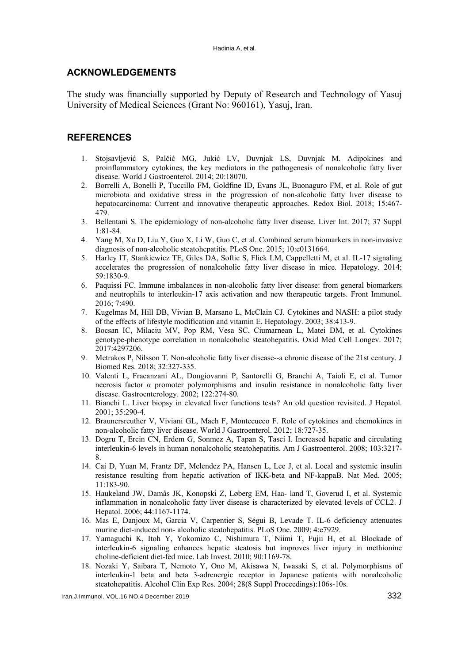#### **ACKNOWLEDGEMENTS**

The study was financially supported by Deputy of Research and Technology of Yasuj University of Medical Sciences (Grant No: 960161), Yasuj, Iran.

#### **REFERENCES**

- 1. Stojsavljević S, Palčić MG, Jukić LV, Duvnjak LS, Duvnjak M. Adipokines and proinflammatory cytokines, the key mediators in the pathogenesis of nonalcoholic fatty liver disease. World J Gastroenterol. 2014; 20:18070.
- 2. Borrelli A, Bonelli P, Tuccillo FM, Goldfine ID, Evans JL, Buonaguro FM, et al. Role of gut microbiota and oxidative stress in the progression of non-alcoholic fatty liver disease to hepatocarcinoma: Current and innovative therapeutic approaches. Redox Biol. 2018; 15:467- 479.
- 3. Bellentani S. The epidemiology of non-alcoholic fatty liver disease. Liver Int. 2017; 37 Suppl 1:81-84.
- 4. Yang M, Xu D, Liu Y, Guo X, Li W, Guo C, et al. Combined serum biomarkers in non-invasive diagnosis of non-alcoholic steatohepatitis. PLoS One. 2015; 10:e0131664.
- 5. Harley IT, Stankiewicz TE, Giles DA, Softic S, Flick LM, Cappelletti M, et al. IL-17 signaling accelerates the progression of nonalcoholic fatty liver disease in mice. Hepatology. 2014; 59:1830-9.
- 6. Paquissi FC. Immune imbalances in non-alcoholic fatty liver disease: from general biomarkers and neutrophils to interleukin-17 axis activation and new therapeutic targets. Front Immunol. 2016; 7:490.
- 7. Kugelmas M, Hill DB, Vivian B, Marsano L, McClain CJ. Cytokines and NASH: a pilot study of the effects of lifestyle modification and vitamin E. Hepatology. 2003; 38:413-9.
- 8. Bocsan IC, Milaciu MV, Pop RM, Vesa SC, Ciumarnean L, Matei DM, et al. Cytokines genotype-phenotype correlation in nonalcoholic steatohepatitis. Oxid Med Cell Longev. 2017; 2017:4297206.
- 9. Metrakos P, Nilsson T. Non-alcoholic fatty liver disease--a chronic disease of the 21st century. J Biomed Res. 2018; 32:327-335.
- 10. Valenti L, Fracanzani AL, Dongiovanni P, Santorelli G, Branchi A, Taioli E, et al. Tumor necrosis factor  $\alpha$  promoter polymorphisms and insulin resistance in nonalcoholic fatty liver disease. Gastroenterology. 2002; 122:274-80.
- 11. Bianchi L. Liver biopsy in elevated liver functions tests? An old question revisited. J Hepatol. 2001; 35:290-4.
- 12. Braunersreuther V, Viviani GL, Mach F, Montecucco F. Role of cytokines and chemokines in non-alcoholic fatty liver disease. World J Gastroenterol. 2012; 18:727-35.
- 13. Dogru T, Ercin CN, Erdem G, Sonmez A, Tapan S, Tasci I. Increased hepatic and circulating interleukin-6 levels in human nonalcoholic steatohepatitis. Am J Gastroenterol. 2008; 103:3217- 8.
- 14. Cai D, Yuan M, Frantz DF, Melendez PA, Hansen L, Lee J, et al. Local and systemic insulin resistance resulting from hepatic activation of IKK-beta and NF-kappaB. Nat Med. 2005; 11:183-90.
- 15. Haukeland JW, Damås JK, Konopski Z, Løberg EM, Haa- land T, Goverud I, et al. Systemic inflammation in nonalcoholic fatty liver disease is characterized by elevated levels of CCL2. J Hepatol. 2006; 44:1167-1174.
- 16. Mas E, Danjoux M, Garcia V, Carpentier S, Ségui B, Levade T. IL-6 deficiency attenuates murine diet-induced non- alcoholic steatohepatitis. PLoS One. 2009; 4:e7929.
- 17. Yamaguchi K, Itoh Y, Yokomizo C, Nishimura T, Niimi T, Fujii H, et al. Blockade of interleukin-6 signaling enhances hepatic steatosis but improves liver injury in methionine choline-deficient diet-fed mice. Lab Invest. 2010; 90:1169-78.
- 18. Nozaki Y, Saibara T, Nemoto Y, Ono M, Akisawa N, Iwasaki S, et al. Polymorphisms of interleukin-1 beta and beta 3-adrenergic receptor in Japanese patients with nonalcoholic steatohepatitis. Alcohol Clin Exp Res. 2004; 28(8 Suppl Proceedings):106s-10s.